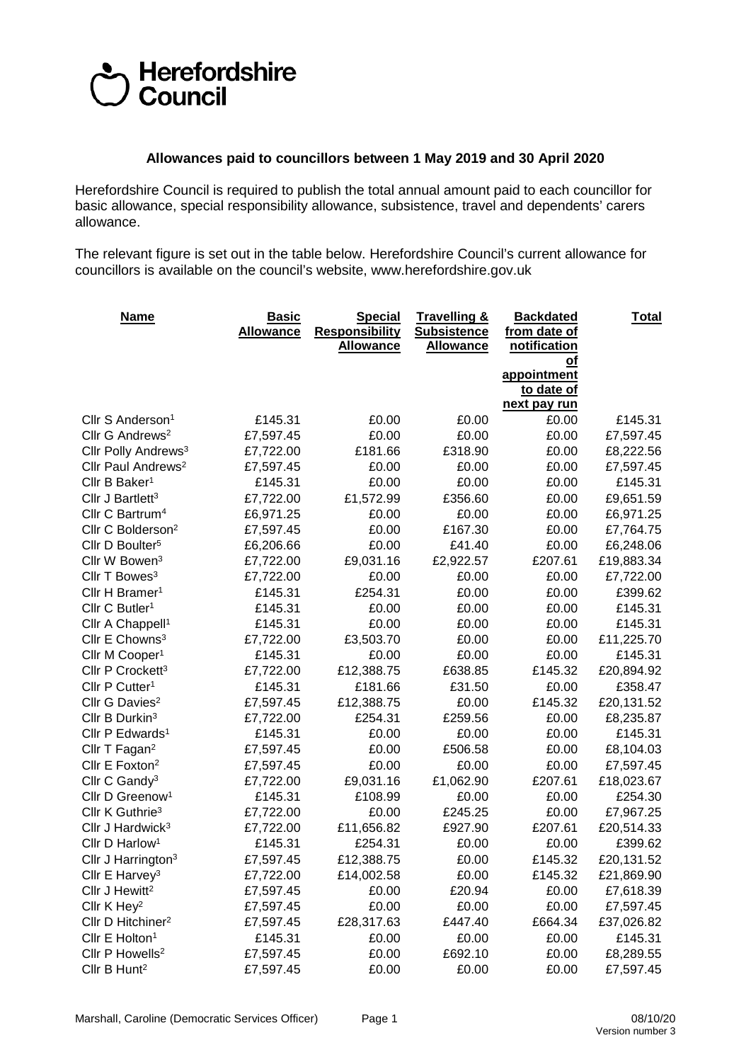## Herefordshire<br>DCouncil

## **Allowances paid to councillors between 1 May 2019 and 30 April 2020**

Herefordshire Council is required to publish the total annual amount paid to each councillor for basic allowance, special responsibility allowance, subsistence, travel and dependents' carers allowance.

The relevant figure is set out in the table below. Herefordshire Council's current allowance for councillors is available on the council's website, www.herefordshire.gov.uk

| <b>Name</b>                     | <b>Basic</b><br><b>Allowance</b> | <b>Special</b><br><b>Responsibility</b><br><b>Allowance</b> | <b>Travelling &amp;</b><br><b>Subsistence</b><br><b>Allowance</b> | <b>Backdated</b><br>from date of<br>notification<br>Οt | <u>Total</u> |
|---------------------------------|----------------------------------|-------------------------------------------------------------|-------------------------------------------------------------------|--------------------------------------------------------|--------------|
|                                 |                                  |                                                             |                                                                   | appointment<br>to date of<br>next pay run              |              |
| Cllr S Anderson <sup>1</sup>    | £145.31                          | £0.00                                                       | £0.00                                                             | £0.00                                                  | £145.31      |
| Cllr G Andrews <sup>2</sup>     | £7,597.45                        | £0.00                                                       | £0.00                                                             | £0.00                                                  | £7,597.45    |
| Cllr Polly Andrews <sup>3</sup> | £7,722.00                        | £181.66                                                     | £318.90                                                           | £0.00                                                  | £8,222.56    |
| Cllr Paul Andrews <sup>2</sup>  | £7,597.45                        | £0.00                                                       | £0.00                                                             | £0.00                                                  | £7,597.45    |
| Cllr B Baker <sup>1</sup>       | £145.31                          | £0.00                                                       | £0.00                                                             | £0.00                                                  | £145.31      |
| Cllr J Bartlett <sup>3</sup>    | £7,722.00                        | £1,572.99                                                   | £356.60                                                           | £0.00                                                  | £9,651.59    |
| Cllr C Bartrum <sup>4</sup>     | £6,971.25                        | £0.00                                                       | £0.00                                                             | £0.00                                                  | £6,971.25    |
| Cllr C Bolderson <sup>2</sup>   | £7,597.45                        | £0.00                                                       | £167.30                                                           | £0.00                                                  | £7,764.75    |
| Cllr D Boulter <sup>5</sup>     | £6,206.66                        | £0.00                                                       | £41.40                                                            | £0.00                                                  | £6,248.06    |
| Cllr W Bowen <sup>3</sup>       | £7,722.00                        | £9,031.16                                                   | £2,922.57                                                         | £207.61                                                | £19,883.34   |
| Cllr T Bowes <sup>3</sup>       | £7,722.00                        | £0.00                                                       | £0.00                                                             | £0.00                                                  | £7,722.00    |
| Cllr H Bramer <sup>1</sup>      | £145.31                          | £254.31                                                     | £0.00                                                             | £0.00                                                  | £399.62      |
| Cllr C Butler <sup>1</sup>      | £145.31                          | £0.00                                                       | £0.00                                                             | £0.00                                                  | £145.31      |
| Cllr A Chappell <sup>1</sup>    | £145.31                          | £0.00                                                       | £0.00                                                             | £0.00                                                  | £145.31      |
| Cllr E Chowns <sup>3</sup>      | £7,722.00                        | £3,503.70                                                   | £0.00                                                             | £0.00                                                  | £11,225.70   |
| Cllr M Cooper <sup>1</sup>      | £145.31                          | £0.00                                                       | £0.00                                                             | £0.00                                                  | £145.31      |
| Cllr P Crockett <sup>3</sup>    | £7,722.00                        | £12,388.75                                                  | £638.85                                                           | £145.32                                                | £20,894.92   |
| Cllr P Cutter <sup>1</sup>      | £145.31                          | £181.66                                                     | £31.50                                                            | £0.00                                                  | £358.47      |
| Cllr G Davies <sup>2</sup>      | £7,597.45                        | £12,388.75                                                  | £0.00                                                             | £145.32                                                | £20,131.52   |
| Cllr B Durkin <sup>3</sup>      | £7,722.00                        | £254.31                                                     | £259.56                                                           | £0.00                                                  | £8,235.87    |
| Cllr P Edwards <sup>1</sup>     | £145.31                          | £0.00                                                       | £0.00                                                             | £0.00                                                  | £145.31      |
| Cllr T Fagan <sup>2</sup>       | £7,597.45                        | £0.00                                                       | £506.58                                                           | £0.00                                                  | £8,104.03    |
| Cllr E Foxton <sup>2</sup>      | £7,597.45                        | £0.00                                                       | £0.00                                                             | £0.00                                                  | £7,597.45    |
| Cllr C Gandy <sup>3</sup>       | £7,722.00                        | £9,031.16                                                   | £1,062.90                                                         | £207.61                                                | £18,023.67   |
| Cllr D Greenow <sup>1</sup>     | £145.31                          | £108.99                                                     | £0.00                                                             | £0.00                                                  | £254.30      |
| Cllr K Guthrie <sup>3</sup>     | £7,722.00                        | £0.00                                                       | £245.25                                                           | £0.00                                                  | £7,967.25    |
| Cllr J Hardwick <sup>3</sup>    | £7,722.00                        | £11,656.82                                                  | £927.90                                                           | £207.61                                                | £20,514.33   |
| Cllr D Harlow <sup>1</sup>      | £145.31                          | £254.31                                                     | £0.00                                                             | £0.00                                                  | £399.62      |
| Cllr J Harrington <sup>3</sup>  | £7,597.45                        | £12,388.75                                                  | £0.00                                                             | £145.32                                                | £20,131.52   |
| Cllr E Harvey <sup>3</sup>      | £7,722.00                        | £14,002.58                                                  | £0.00                                                             | £145.32                                                | £21,869.90   |
| Cllr J Hewitt <sup>2</sup>      | £7,597.45                        | £0.00                                                       | £20.94                                                            | £0.00                                                  | £7,618.39    |
| Cllr K Hey <sup>2</sup>         | £7,597.45                        | £0.00                                                       | £0.00                                                             | £0.00                                                  | £7,597.45    |
| Cllr D Hitchiner <sup>2</sup>   | £7,597.45                        | £28,317.63                                                  | £447.40                                                           | £664.34                                                | £37,026.82   |
| Cllr E Holton <sup>1</sup>      | £145.31                          | £0.00                                                       | £0.00                                                             | £0.00                                                  | £145.31      |
| Cllr P Howells <sup>2</sup>     | £7,597.45                        | £0.00                                                       | £692.10                                                           | £0.00                                                  | £8,289.55    |
| Cllr B Hunt <sup>2</sup>        | £7,597.45                        | £0.00                                                       | £0.00                                                             | £0.00                                                  | £7,597.45    |